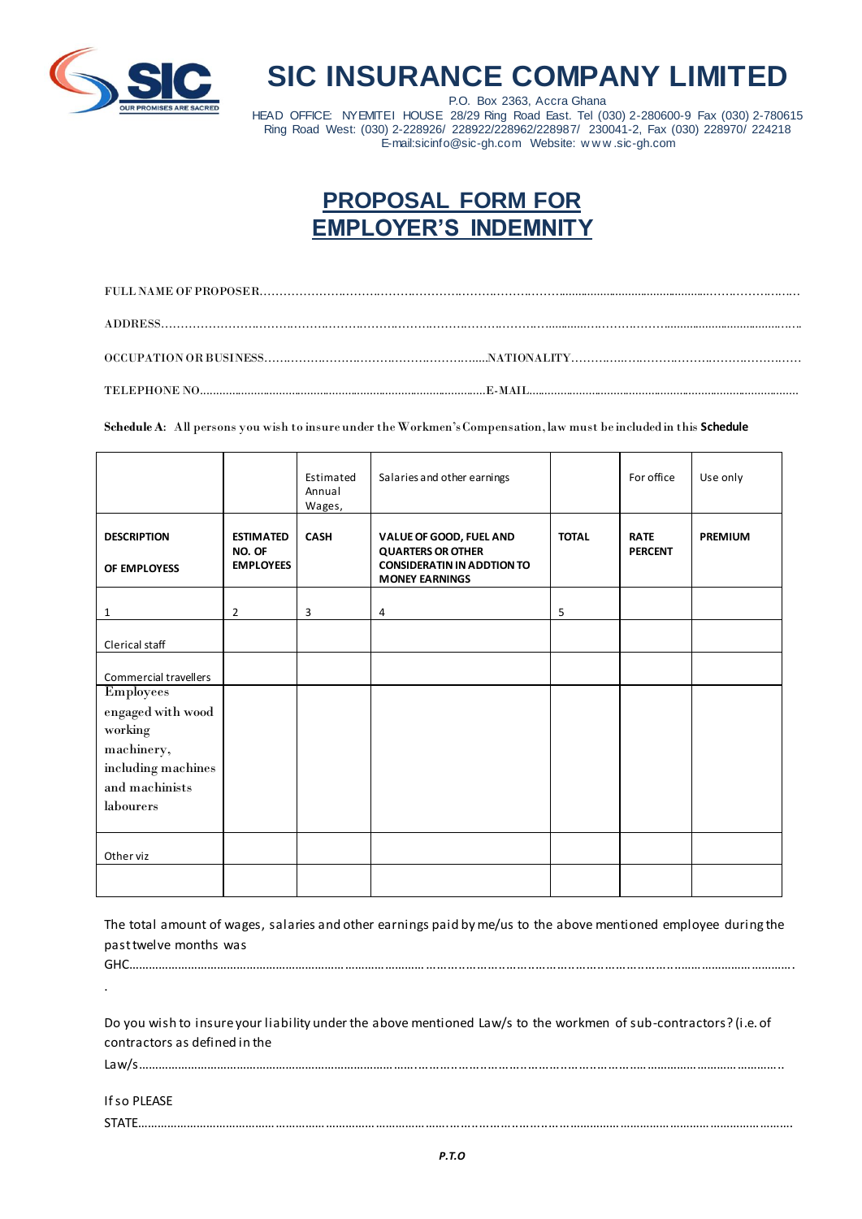

## **SIC INSURANCE COMPANY LIMITED**

P.O. Box 2363, Accra Ghana HEAD OFFICE: NYEMITEI HOUSE 28/29 Ring Road East. Tel (030) 2-280600-9 Fax (030) 2-780615 Ring Road West: (030) 2-228926/ 228922/228962/228987/ 230041-2, Fax (030) 228970/ 224218 E-mail:sicinfo@sic-gh.com Website: w w w .sic-gh.com

## **PROPOSAL FORM FOR EMPLOYER'S INDEMNITY**

**Schedule A**: All persons you wish to insure under the Workmen's Compensation, law must be included in this **Schedule**

|                                                                                                                     |                                                | Estimated<br>Annual<br>Wages, | Salaries and other earnings                                                                                       |              | For office                    | Use only       |
|---------------------------------------------------------------------------------------------------------------------|------------------------------------------------|-------------------------------|-------------------------------------------------------------------------------------------------------------------|--------------|-------------------------------|----------------|
| <b>DESCRIPTION</b><br>OF EMPLOYESS                                                                                  | <b>ESTIMATED</b><br>NO. OF<br><b>EMPLOYEES</b> | <b>CASH</b>                   | VALUE OF GOOD, FUEL AND<br><b>QUARTERS OR OTHER</b><br><b>CONSIDERATIN IN ADDTION TO</b><br><b>MONEY EARNINGS</b> | <b>TOTAL</b> | <b>RATE</b><br><b>PERCENT</b> | <b>PREMIUM</b> |
| 1                                                                                                                   | 2                                              | 3                             | 4                                                                                                                 | 5            |                               |                |
| Clerical staff                                                                                                      |                                                |                               |                                                                                                                   |              |                               |                |
| Commercial travellers                                                                                               |                                                |                               |                                                                                                                   |              |                               |                |
| <b>Employees</b><br>engaged with wood<br>working<br>machinery,<br>including machines<br>and machinists<br>labourers |                                                |                               |                                                                                                                   |              |                               |                |
| Other viz                                                                                                           |                                                |                               |                                                                                                                   |              |                               |                |
|                                                                                                                     |                                                |                               |                                                                                                                   |              |                               |                |

The total amount of wages, salaries and other earnings paid by me/us to the above mentioned employee during the past twelve months was GHC………………………………………………………………………………......................................................................…………………………….

Do you wish to insure your liability under the above mentioned Law/s to the workmen of sub-contractors? (i.e. of contractors as defined in the

Law/s………………………………………………………………………….............................................................……………………………………..

If so PLEASE

.

STATE…………………………………………………………………………………..................................………………………………………………………….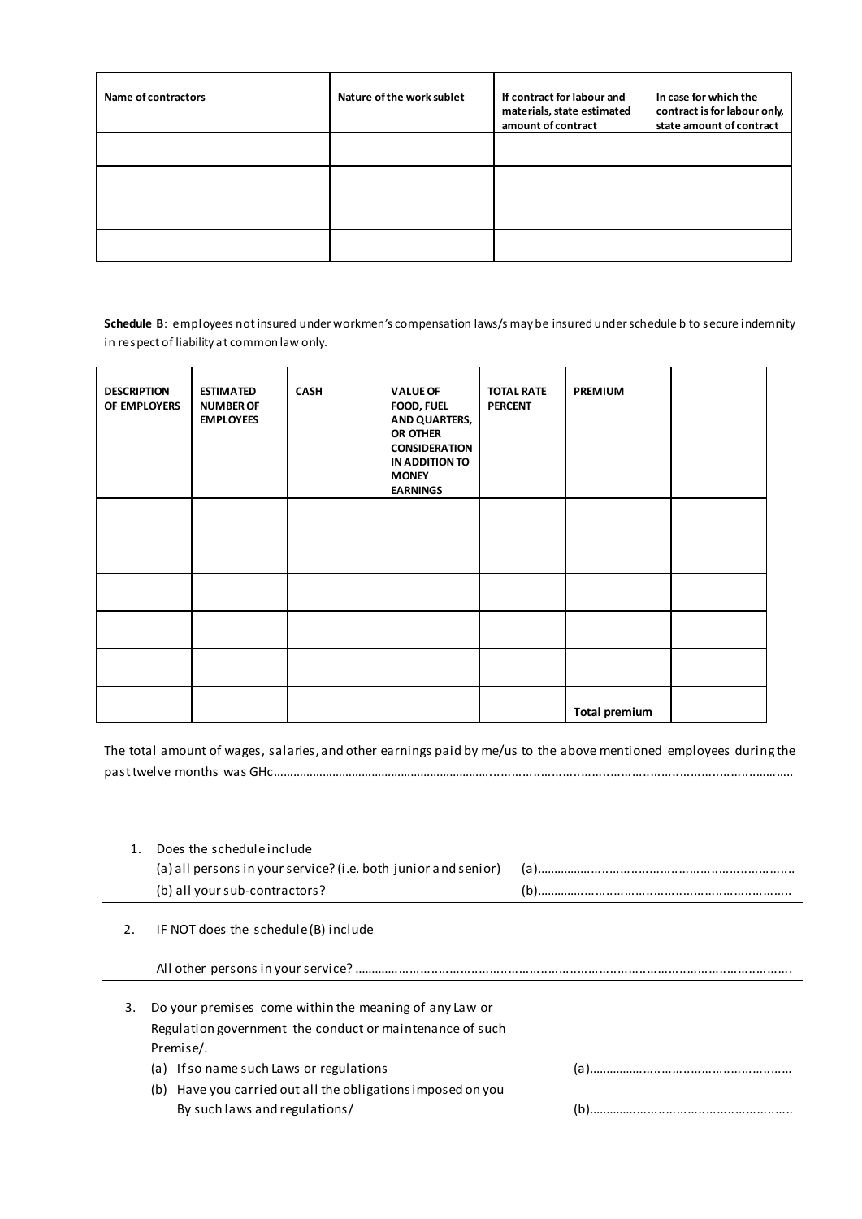| Name of contractors | Nature of the work sublet | If contract for labour and<br>materials, state estimated<br>amount of contract | In case for which the<br>contract is for labour only,<br>state amount of contract |
|---------------------|---------------------------|--------------------------------------------------------------------------------|-----------------------------------------------------------------------------------|
|                     |                           |                                                                                |                                                                                   |
|                     |                           |                                                                                |                                                                                   |
|                     |                           |                                                                                |                                                                                   |
|                     |                           |                                                                                |                                                                                   |

**Schedule B**: employees not insured under workmen's compensation laws/s may be insured under schedule b to secure indemnity in respect of liability at common law only.

| <b>DESCRIPTION</b><br>OF EMPLOYERS | <b>ESTIMATED</b><br><b>NUMBER OF</b><br><b>EMPLOYEES</b> | <b>CASH</b> | <b>VALUE OF</b><br>FOOD, FUEL<br><b>AND QUARTERS,</b><br>OR OTHER<br><b>CONSIDERATION</b><br>IN ADDITION TO<br><b>MONEY</b><br><b>EARNINGS</b> | <b>TOTAL RATE</b><br><b>PERCENT</b> | <b>PREMIUM</b>       |  |
|------------------------------------|----------------------------------------------------------|-------------|------------------------------------------------------------------------------------------------------------------------------------------------|-------------------------------------|----------------------|--|
|                                    |                                                          |             |                                                                                                                                                |                                     |                      |  |
|                                    |                                                          |             |                                                                                                                                                |                                     |                      |  |
|                                    |                                                          |             |                                                                                                                                                |                                     |                      |  |
|                                    |                                                          |             |                                                                                                                                                |                                     |                      |  |
|                                    |                                                          |             |                                                                                                                                                |                                     |                      |  |
|                                    |                                                          |             |                                                                                                                                                |                                     | <b>Total premium</b> |  |

The total amount of wages, salaries, and other earnings paid by me/us to the above mentioned employees during the past twelve months was GHc………………………………………………………….........................................................................………..

|    | Does the schedule include<br>(a) all persons in your service? (i.e. both junior and senior)<br>(b) all your sub-contractors?                                                                                                              |  |
|----|-------------------------------------------------------------------------------------------------------------------------------------------------------------------------------------------------------------------------------------------|--|
| 2. | IF NOT does the schedule (B) include                                                                                                                                                                                                      |  |
|    |                                                                                                                                                                                                                                           |  |
| 3. | Do your premises come within the meaning of any Law or<br>Regulation government the conduct or maintenance of such<br>Premise/.<br>(a) If so name such Laws or regulations<br>(b) Have you carried out all the obligations imposed on you |  |
|    | By such laws and regulations/                                                                                                                                                                                                             |  |